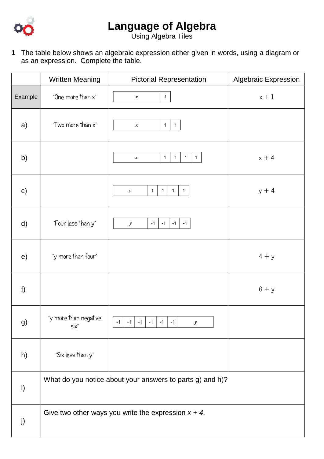

## **Language of Algebra**

Using Algebra Tiles

|               | <b>Written Meaning</b>        | <b>Pictorial Representation</b>                                                  | <b>Algebraic Expression</b> |
|---------------|-------------------------------|----------------------------------------------------------------------------------|-----------------------------|
| Example       | "One more than x"             | $\mathbf{1}$<br>x                                                                | $x + 1$                     |
| a)            | "Two more than x"             | $\mathbf{1}$<br>$\mathbf{1}$<br>x                                                |                             |
| b)            |                               | $\mathbf{1}$<br>$\mathbf{1}$<br>$\mathbf{1}$<br>$\mathbf{1}$<br>$\boldsymbol{x}$ | $x + 4$                     |
| $\mathsf{c})$ |                               | $\mathbf{1}$<br>$\mathbf{1}$<br>$\mathbf{1}$<br>$\mathbf{1}$<br>$\boldsymbol{v}$ | $y + 4$                     |
| d)            | "Four less than y"            | $-1$<br>$-1$<br>$-1$<br>$-1$<br>$\boldsymbol{y}$                                 |                             |
| e)            | "y more than four"            |                                                                                  | $4 + y$                     |
| f             |                               |                                                                                  | $6 + y$                     |
| g)            | "y more than negative<br>Six" | $-1$<br>$-1$<br>$-1$<br>$-1$<br>-1<br>-1<br>y                                    |                             |
| h)            | "Six less than y"             |                                                                                  |                             |
| i)            |                               | What do you notice about your answers to parts g) and h)?                        |                             |
| j)            |                               | Give two other ways you write the expression $x + 4$ .                           |                             |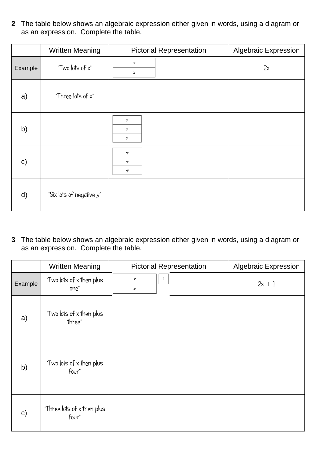|              | <b>Written Meaning</b>   | <b>Pictorial Representation</b>      | <b>Algebraic Expression</b> |
|--------------|--------------------------|--------------------------------------|-----------------------------|
| Example      | "Two lots of x"          | $\boldsymbol{x}$<br>$\boldsymbol{x}$ | 2x                          |
| a)           | "Three lots of x"        |                                      |                             |
| b)           |                          | y<br>y<br>у                          |                             |
| $\mathbf{C}$ |                          | $\mathcal{Y}$<br>$\cdot y$<br>$-y$   |                             |
| d)           | "Six lots of negative y" |                                      |                             |

|              | <b>Written Meaning</b>              | <b>Pictorial Representation</b>      | <b>Algebraic Expression</b> |
|--------------|-------------------------------------|--------------------------------------|-----------------------------|
| Example      | "Two lots of x then plus<br>one"    | 1<br>$\boldsymbol{\mathcal{X}}$<br>x | $2x + 1$                    |
| a)           | "Two lots of x then plus<br>three"  |                                      |                             |
| b)           | "Two lots of x then plus<br>four"   |                                      |                             |
| $\mathbf{C}$ | "Three lots of x then plus<br>four" |                                      |                             |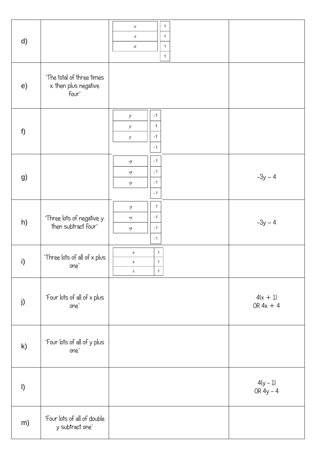| d)           |                                                             | $\mathbf{1}$<br>$\boldsymbol{x}$<br>$\mathbf{1}$<br>$\boldsymbol{x}$<br>$\mathbf{1}$<br>$\boldsymbol{x}$<br>$\mathbf{1}$ |                           |
|--------------|-------------------------------------------------------------|--------------------------------------------------------------------------------------------------------------------------|---------------------------|
| e)           | "The total of three times<br>x. then plus negative<br>four" |                                                                                                                          |                           |
| f            |                                                             | $-1$<br>$\boldsymbol{y}$<br>$-1$<br>$\boldsymbol{y}$<br>$-1$<br>$\boldsymbol{\mathcal{Y}}$<br>$-1$                       |                           |
| g)           |                                                             | $-1$<br>$\neg y$<br>$-1$<br>$\lnot y$<br>$-1$<br>$\neg y$<br>$-1$                                                        | $-3y - 4$                 |
| h)           | "Three lots of negative y.<br>then subtract four"           | $-1$<br>$\neg y$<br>$-1$<br>$\lnot y$<br>$-1$<br>$\neg y$<br>$-1$                                                        | $-3y - 4$                 |
| i)           | "Three lots of all of x plus<br>one"                        | $\,1\,$<br>$\boldsymbol{x}$<br>$\,1\,$<br>$\boldsymbol{x}$<br>1<br>$\boldsymbol{x}$                                      |                           |
| j)           | "Four lots of all of x plus<br>one"                         |                                                                                                                          | $4(x + 1)$<br>OR $4x + 4$ |
| $\mathsf{k}$ | "Four lots of all of y plus<br>one"                         |                                                                                                                          |                           |
| $\vert$      |                                                             |                                                                                                                          | $4(y - 1)$<br>OR $4y - 4$ |
| m)           | "Four lots of all of double<br>y subtract one"              |                                                                                                                          |                           |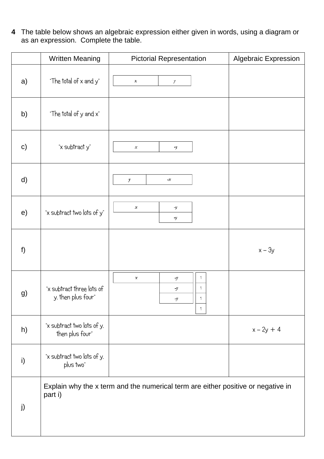|               | <b>Written Meaning</b>                          | <b>Pictorial Representation</b>                                                  | <b>Algebraic Expression</b> |
|---------------|-------------------------------------------------|----------------------------------------------------------------------------------|-----------------------------|
| a)            | "The total of x and y"                          | $\boldsymbol{x}$<br>y                                                            |                             |
| b)            | "The total of y and x"                          |                                                                                  |                             |
| $\mathsf{c})$ | "x subtract y"                                  | x<br>$-y$                                                                        |                             |
| d)            |                                                 | $\boldsymbol{y}$<br>-x                                                           |                             |
| e)            | "x subtract two lots of y"                      | $\boldsymbol{x}$<br>$\mathcal{Y}$<br>$\cdot y$                                   |                             |
| f)            |                                                 |                                                                                  | $x - 3y$                    |
| g)            | "x subtract three lots of<br>y. then plus four" | 1<br>x<br>$\mathcal{Y}$<br>1<br>-y<br>1<br>$\mathcal{Y}$<br>$\mathbf{1}$         |                             |
| h)            | "x subtract two lots of y.<br>then plus four"   |                                                                                  | $x - 2y + 4$                |
| i)            | "x subtract two lots of y.<br>plus two"         |                                                                                  |                             |
| j)            | part i)                                         | Explain why the x term and the numerical term are either positive or negative in |                             |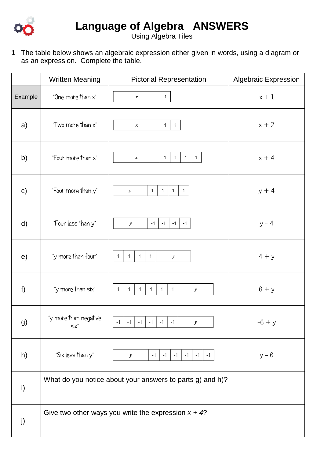

Using Algebra Tiles

|               | <b>Written Meaning</b>        | <b>Pictorial Representation</b>                                                  | <b>Algebraic Expression</b> |
|---------------|-------------------------------|----------------------------------------------------------------------------------|-----------------------------|
| Example       | "One more than x"             | $\mathbf{1}$<br>$\boldsymbol{x}$                                                 | $x + 1$                     |
| a)            | "Two more than x"             | $\mathbf{1}$<br>$\mathbf{1}$<br>$\boldsymbol{x}$                                 | $x + 2$                     |
| b)            | "Four more than x"            | $\mathbf{1}$<br>$\mathbf{1}$<br>$\mathbf{1}$<br>$\mathbf{1}$<br>x                | $x + 4$                     |
| $\mathsf{c})$ | "Four more than y"            | $\mathbf{1}$<br>$\mathbf{1}$<br>$\mathbf{1}$<br>$\mathbf{1}$<br>$\boldsymbol{v}$ | $y + 4$                     |
| $\mathsf{d}$  | "Four less than y"            | $-1$<br>$-1$<br>$-1$<br>$-1$<br>$\boldsymbol{v}$                                 | $y - 4$                     |
| e)            | "y more than four"            | $\mathbf{1}$<br>$\mathbf{1}$<br>$\mathbf{1}$<br>1<br>$\boldsymbol{y}$            | $4 + y$                     |
| f)            | "y more than six"             | $\mathbf{1}$<br>$\mathbf{1}$<br>1<br>$\mathbf{1}$<br>$\mathbf{1}$<br>1<br>y      | $6 + y$                     |
| g)            | "y more than negative<br>Six" | $-1$ $-1$<br>$-1$<br>$-1$<br>$-1$<br>$-1$<br>$\mathcal{V}$                       | $-6 + y$                    |
| h)            | "Six less than y"             | $-1$<br>$-1$<br>$-1$<br>$-1$<br>$-1$   $-1$<br>$\boldsymbol{y}$                  | $y - 6$                     |
| i)            |                               | What do you notice about your answers to parts g) and h)?                        |                             |
| j)            |                               | Give two other ways you write the expression $x + 4$ ?                           |                             |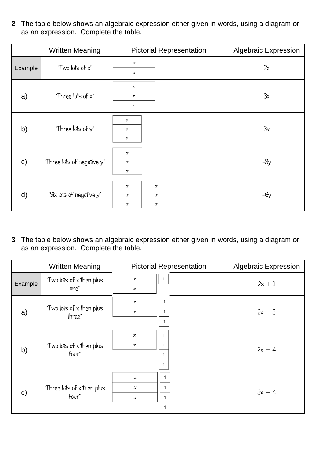|              | <b>Written Meaning</b>     | <b>Pictorial Representation</b>                                 | <b>Algebraic Expression</b> |
|--------------|----------------------------|-----------------------------------------------------------------|-----------------------------|
| Example      | "Two lots of x"            | $\boldsymbol{x}$<br>$\boldsymbol{\mathcal{X}}$                  | 2x                          |
| a)           | "Three lots of x"          | $\boldsymbol{x}$<br>$\boldsymbol{x}$<br>x                       | 3x                          |
| b)           | "Three lots of y"          | y<br>$\mathcal{Y}$<br>y                                         | 3y                          |
| $\mathbf{C}$ | "Three lots of negative y" | $-y$<br>$-y$<br>$-y$                                            | $-3y$                       |
| d)           | "Six lots of negative y"   | $-y$<br>$\cdot y$<br>$-y$<br>$\mathcal{Y}$<br>$-y$<br>$\cdot y$ | -6у                         |

|              | <b>Written Meaning</b>              | <b>Pictorial Representation</b>                                           | <b>Algebraic Expression</b> |
|--------------|-------------------------------------|---------------------------------------------------------------------------|-----------------------------|
| Example      | "Two lots of x then plus<br>one"    | $\boldsymbol{\mathcal{X}}$<br>$\boldsymbol{x}$                            | $2x + 1$                    |
| a)           | "Two lots of x then plus<br>three"  | $\mathbf{1}$<br>$\boldsymbol{x}$<br>1<br>$\boldsymbol{x}$<br>$\mathbf{1}$ | $2x + 3$                    |
| b)           | "Two lots of x then plus<br>four"   | 1<br>$\boldsymbol{x}$<br>1<br>$\boldsymbol{x}$<br>1<br>1                  | $2x + 4$                    |
| $\mathbf{C}$ | "Three lots of x then plus<br>four" | 1<br>x<br>1<br>x<br>1<br>x<br>1                                           | $3x + 4$                    |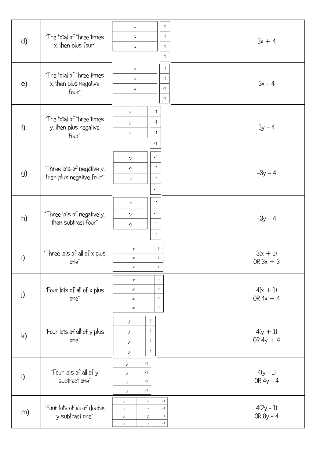|         |                                                        | 1<br>x<br>$\mathbf{1}$<br>x                                                                                          |                           |
|---------|--------------------------------------------------------|----------------------------------------------------------------------------------------------------------------------|---------------------------|
| d)      | "The total of three times<br>x. then plus four"        | $\mathbf{1}$<br>$\boldsymbol{x}$<br>$\mathbf{1}$                                                                     | $3x + 4$                  |
| e)      | "The total of three times<br>x. then plus negative     | $-1$<br>$\boldsymbol{x}$<br>$-1$<br>$\boldsymbol{x}$<br>$-1$<br>$\boldsymbol{x}$                                     | $3x - 4$                  |
|         | four"                                                  | $-1$                                                                                                                 |                           |
|         | "The total of three times                              | $-1$<br>$\boldsymbol{y}$<br>$-1$<br>y                                                                                |                           |
| $f$ )   | y. then plus negative<br>four"                         | $-1$<br>$\boldsymbol{y}$<br>$-1$                                                                                     | $3y - 4$                  |
|         |                                                        | $-1$<br>$\neg y$                                                                                                     |                           |
| g)      | "Three lots of negative y.<br>then plus negative four" | $-1$<br>$-\mathcal{Y}$<br>$-1$<br>$\mathcal{Y}$                                                                      | $-3y - 4$                 |
|         |                                                        | $-1$                                                                                                                 |                           |
|         | "Three lots of negative y.                             | $-1$<br>$\mathcal V$<br>$-1$<br>$-\mathcal{V}$                                                                       |                           |
| h)      | then subtract four"                                    | $-1$<br>$\mathcal{Y}$<br>$-1$                                                                                        | $-3y - 4$                 |
|         |                                                        | $\mathbf{1}$<br>$\boldsymbol{x}$                                                                                     |                           |
| i)      | "Three lots of all of x plus<br>one"                   | 1<br>x<br>$\mathbf{1}$<br>$\boldsymbol{x}$                                                                           | $3(x + 1)$<br>OR $3x + 3$ |
|         | "Four lots of all of x plus                            | $\mathbf{1}$<br>$\boldsymbol{\mathcal{X}}$<br>1<br>$\boldsymbol{\chi}$                                               | $4(x + 1)$                |
| j)      | one"                                                   | 1<br>$\boldsymbol{x}$<br>$\mathbf{1}$<br>$\boldsymbol{x}$                                                            | OR $4x + 4$               |
|         |                                                        | 1<br>$\mathcal{Y}$                                                                                                   |                           |
| k)      | "Four lots of all of y plus<br>one"                    | 1<br>$\mathcal{Y}$<br>1<br>$\mathcal{Y}% =\mathcal{Y}^{T}\left( \mathcal{Y}^{T}\right)$                              | $4(y + 1)$<br>OR $4y + 4$ |
|         |                                                        | $\mathbf{1}$<br>$\mathcal{Y}$                                                                                        |                           |
| $\vert$ | "Four lots of all of y                                 | $-1$<br>$\mathcal{Y}$<br>$-1$<br>$\mathcal{Y}$                                                                       | $4(y - 1)$                |
|         | subtract one"                                          | $-1$<br>$\mathcal{Y}$<br>$-1$<br>$\boldsymbol{y}$                                                                    | OR $4y - 4$               |
| m)      | "Four lots of all of double                            | $-1$<br>$\mathcal{V}% _{0}\left( \mathcal{N}\right)$<br>$\boldsymbol{y}$<br>$-1$<br>$\boldsymbol{y}$<br>$\mathcal V$ | $4(2y - 1)$               |
|         | y subtract one"                                        | $-1$<br>$\boldsymbol{y}$<br>$\mathcal V$<br>$-1$<br>$\boldsymbol{y}$<br>$\mathcal V$                                 | OR $8y - 4$               |